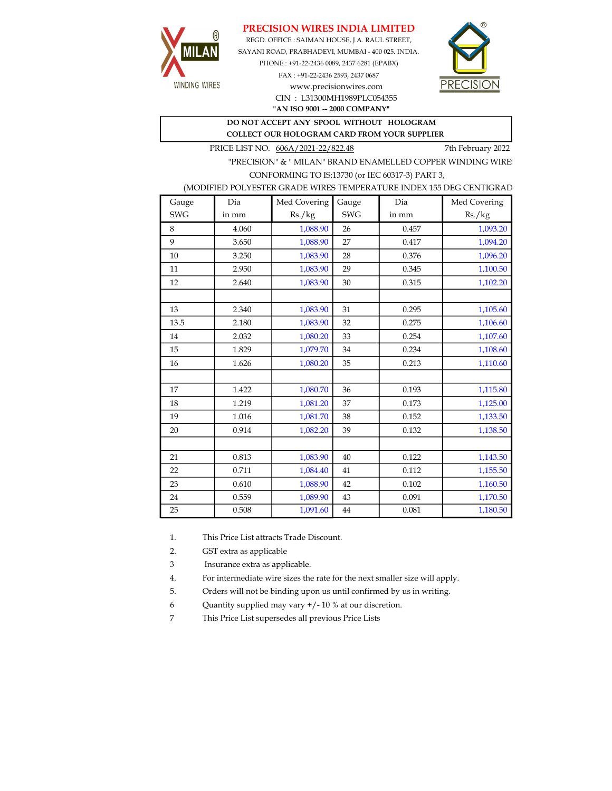## PRECISION WIRES INDIA LIMITED



REGD. OFFICE : SAIMAN HOUSE, J.A. RAUL STREET, SAYANI ROAD, PRABHADEVI, MUMBAI - 400 025. INDIA. PHONE : +91-22-2436 0089, 2437 6281 (EPABX)

> FAX : +91-22-2436 2593, 2437 0687 www.precisionwires.com CIN : L31300MH1989PLC054355



"AN ISO 9001 -- 2000 COMPANY"

DO NOT ACCEPT ANY SPOOL WITHOUT HOLOGRAM COLLECT OUR HOLOGRAM CARD FROM YOUR SUPPLIER

PRICE LIST NO.  $606A/2021-22/822.48$  7th February 2022

"PRECISION" & " MILAN" BRAND ENAMELLED COPPER WINDING WIRE CONFORMING TO IS:13730 (or IEC 60317-3) PART 3,

|  |  | (MODIFIED POLYESTER GRADE WIRES TEMPERATURE INDEX 155 DEG CENTIGRAD |  |
|--|--|---------------------------------------------------------------------|--|
|  |  |                                                                     |  |

| Gauge      | Dia   | Med Covering | Gauge      | Dia   | Med Covering |
|------------|-------|--------------|------------|-------|--------------|
| <b>SWG</b> | in mm | Rs./kg       | <b>SWG</b> | in mm | Rs./kg       |
| 8          | 4.060 | 1,088.90     | 26         | 0.457 | 1,093.20     |
| 9          | 3.650 | 1,088.90     | 27         | 0.417 | 1,094.20     |
| 10         | 3.250 | 1,083.90     | 28         | 0.376 | 1,096.20     |
| 11         | 2.950 | 1,083.90     | 29         | 0.345 | 1,100.50     |
| 12         | 2.640 | 1,083.90     | 30         | 0.315 | 1,102.20     |
|            |       |              |            |       |              |
| 13         | 2.340 | 1,083.90     | 31         | 0.295 | 1,105.60     |
| 13.5       | 2.180 | 1,083.90     | 32         | 0.275 | 1,106.60     |
| 14         | 2.032 | 1,080.20     | 33         | 0.254 | 1,107.60     |
| 15         | 1.829 | 1,079.70     | 34         | 0.234 | 1,108.60     |
| 16         | 1.626 | 1,080.20     | 35         | 0.213 | 1,110.60     |
|            |       |              |            |       |              |
| 17         | 1.422 | 1,080.70     | 36         | 0.193 | 1,115.80     |
| 18         | 1.219 | 1,081.20     | 37         | 0.173 | 1,125.00     |
| 19         | 1.016 | 1,081.70     | 38         | 0.152 | 1,133.50     |
| 20         | 0.914 | 1,082.20     | 39         | 0.132 | 1,138.50     |
|            |       |              |            |       |              |
| 21         | 0.813 | 1,083.90     | 40         | 0.122 | 1,143.50     |
| 22         | 0.711 | 1,084.40     | 41         | 0.112 | 1,155.50     |
| 23         | 0.610 | 1,088.90     | 42         | 0.102 | 1,160.50     |
| 24         | 0.559 | 1,089.90     | 43         | 0.091 | 1,170.50     |
| 25         | 0.508 | 1,091.60     | 44         | 0.081 | 1,180.50     |

1. This Price List attracts Trade Discount.

2. GST extra as applicable

3 Insurance extra as applicable.

4. For intermediate wire sizes the rate for the next smaller size will apply.

5. Orders will not be binding upon us until confirmed by us in writing.

6 Quantity supplied may vary +/- 10 % at our discretion.

7 This Price List supersedes all previous Price Lists